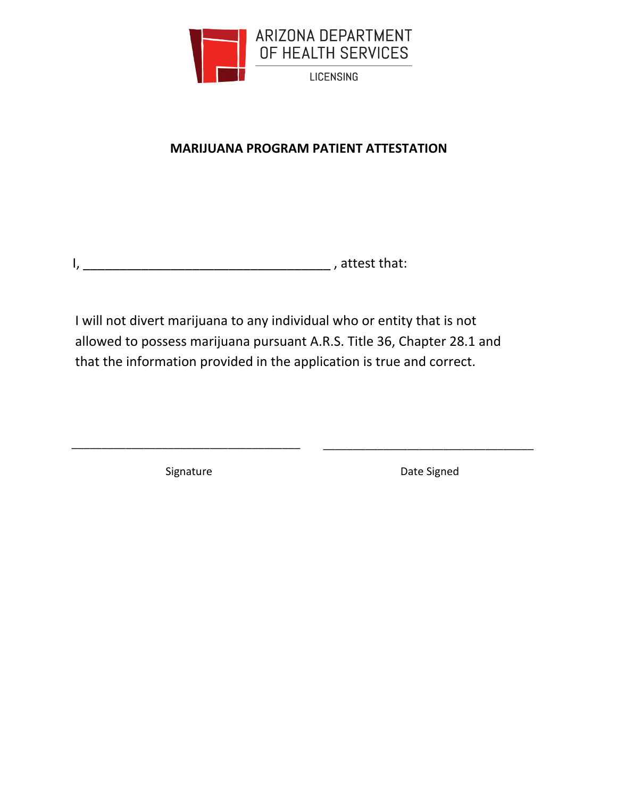

# **MARIJUANA PROGRAM PATIENT ATTESTATION**

I will not divert marijuana to any individual who or entity that is not allowed to possess marijuana pursuant A.R.S. Title 36, Chapter 28.1 and that the information provided in the application is true and correct.

\_\_\_\_\_\_\_\_\_\_\_\_\_\_\_\_\_\_\_\_\_\_\_\_\_\_\_\_\_\_\_\_\_\_\_\_\_\_ \_\_\_\_\_\_\_\_\_\_\_\_\_\_\_\_\_\_\_\_\_\_\_\_\_\_\_\_\_\_\_\_\_\_\_

Signature Date Signed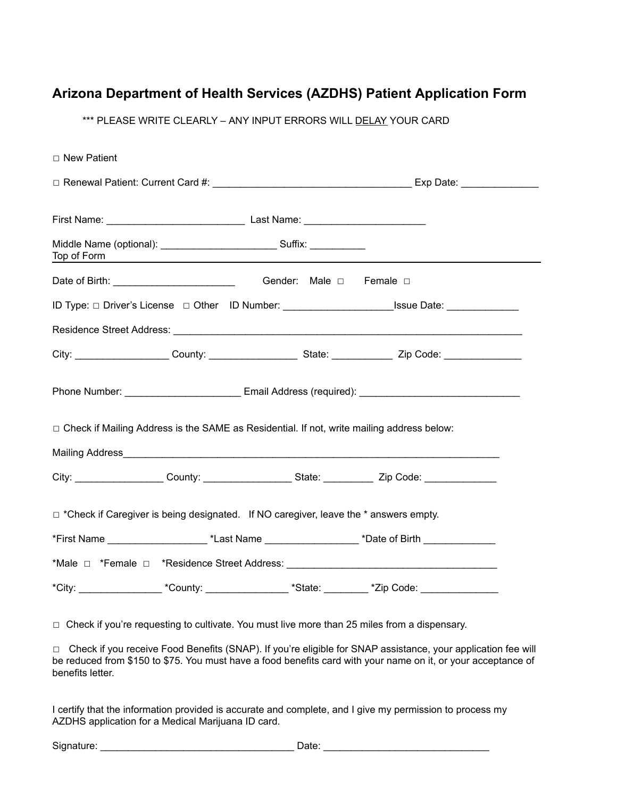## **Arizona Department of Health Services (AZDHS) Patient Application Form**

\*\*\* PLEASE WRITE CLEARLY - ANY INPUT ERRORS WILL DELAY YOUR CARD

| $\Box$ New Patient                                                                          |                                                                                                  |  |                                                                                                                       |  |  |
|---------------------------------------------------------------------------------------------|--------------------------------------------------------------------------------------------------|--|-----------------------------------------------------------------------------------------------------------------------|--|--|
|                                                                                             |                                                                                                  |  |                                                                                                                       |  |  |
|                                                                                             |                                                                                                  |  |                                                                                                                       |  |  |
| Top of Form                                                                                 |                                                                                                  |  | <u> 1989 - Johann Harry Harry Harry Harry Harry Harry Harry Harry Harry Harry Harry Harry Harry Harry Harry Harry</u> |  |  |
|                                                                                             |                                                                                                  |  |                                                                                                                       |  |  |
|                                                                                             |                                                                                                  |  | ID Type: □ Driver's License □ Other ID Number: __________________________Issue Date: ______________                   |  |  |
|                                                                                             |                                                                                                  |  |                                                                                                                       |  |  |
|                                                                                             |                                                                                                  |  |                                                                                                                       |  |  |
|                                                                                             |                                                                                                  |  |                                                                                                                       |  |  |
|                                                                                             | $\Box$ Check if Mailing Address is the SAME as Residential. If not, write mailing address below: |  |                                                                                                                       |  |  |
|                                                                                             |                                                                                                  |  |                                                                                                                       |  |  |
|                                                                                             |                                                                                                  |  | City: ____________________County: _____________________State: _______________Zip Code: _____________                  |  |  |
| $\Box$ *Check if Caregiver is being designated. If NO caregiver, leave the * answers empty. |                                                                                                  |  |                                                                                                                       |  |  |
|                                                                                             |                                                                                                  |  | *First Name ____________________________*Last Name _______________________*Date of Birth _________________            |  |  |
|                                                                                             |                                                                                                  |  |                                                                                                                       |  |  |
|                                                                                             |                                                                                                  |  | *City: _____________________*County: _____________________*State: __________*Zip Code: __________________             |  |  |
|                                                                                             |                                                                                                  |  |                                                                                                                       |  |  |

☐ Check if you're requesting to cultivate. You must live more than 25 miles from a dispensary.

☐ Check if you receive Food Benefits (SNAP). If you're eligible for SNAP assistance, your application fee will be reduced from \$150 to \$75. You must have a food benefits card with your name on it, or your acceptance of benefits letter.

I certify that the information provided is accurate and complete, and I give my permission to process my AZDHS application for a Medical Marijuana ID card.

Signature: \_\_\_\_\_\_\_\_\_\_\_\_\_\_\_\_\_\_\_\_\_\_\_\_\_\_\_\_\_\_\_\_\_\_\_ Date: \_\_\_\_\_\_\_\_\_\_\_\_\_\_\_\_\_\_\_\_\_\_\_\_\_\_\_\_\_\_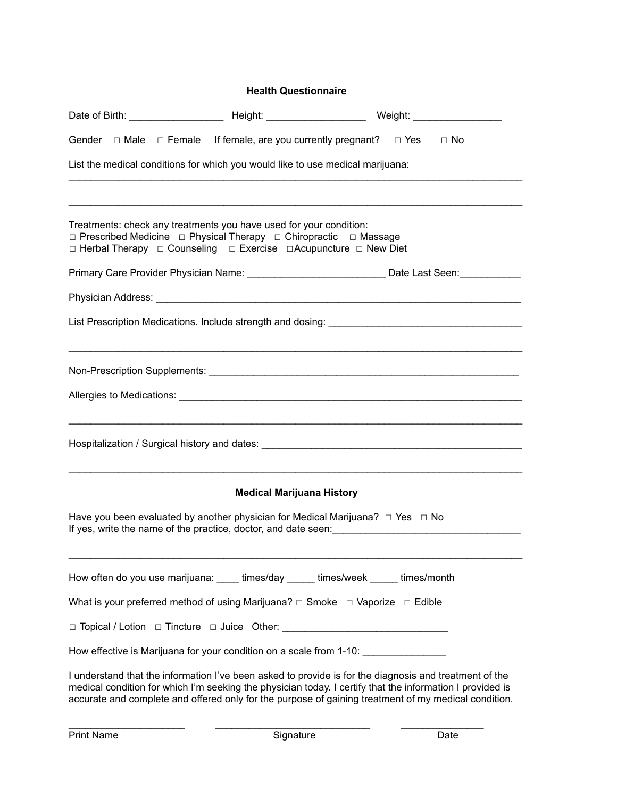#### **Health Questionnaire**

|                                                                                                                                                                                                                                       |                                  | Gender $\Box$ Male $\Box$ Female If female, are you currently pregnant? $\Box$ Yes $\Box$ No                                                                                                                                                                                                                                |  |
|---------------------------------------------------------------------------------------------------------------------------------------------------------------------------------------------------------------------------------------|----------------------------------|-----------------------------------------------------------------------------------------------------------------------------------------------------------------------------------------------------------------------------------------------------------------------------------------------------------------------------|--|
| List the medical conditions for which you would like to use medical marijuana:                                                                                                                                                        |                                  |                                                                                                                                                                                                                                                                                                                             |  |
|                                                                                                                                                                                                                                       |                                  |                                                                                                                                                                                                                                                                                                                             |  |
| Treatments: check any treatments you have used for your condition:<br>□ Prescribed Medicine □ Physical Therapy □ Chiropractic □ Massage<br>$\Box$ Herbal Therapy $\Box$ Counseling $\Box$ Exercise $\Box$ Acupuncture $\Box$ New Diet |                                  |                                                                                                                                                                                                                                                                                                                             |  |
|                                                                                                                                                                                                                                       |                                  |                                                                                                                                                                                                                                                                                                                             |  |
|                                                                                                                                                                                                                                       |                                  |                                                                                                                                                                                                                                                                                                                             |  |
|                                                                                                                                                                                                                                       |                                  |                                                                                                                                                                                                                                                                                                                             |  |
|                                                                                                                                                                                                                                       |                                  |                                                                                                                                                                                                                                                                                                                             |  |
|                                                                                                                                                                                                                                       |                                  | Hospitalization / Surgical history and dates: __________________________________                                                                                                                                                                                                                                            |  |
|                                                                                                                                                                                                                                       | <b>Medical Marijuana History</b> |                                                                                                                                                                                                                                                                                                                             |  |
| Have you been evaluated by another physician for Medical Marijuana? $\Box$ Yes $\Box$ No                                                                                                                                              |                                  | If yes, write the name of the practice, doctor, and date seen:                                                                                                                                                                                                                                                              |  |
| How often do you use marijuana: _____ times/day ______ times/week ______ times/month                                                                                                                                                  |                                  |                                                                                                                                                                                                                                                                                                                             |  |
| What is your preferred method of using Marijuana? $\Box$ Smoke $\Box$ Vaporize $\Box$ Edible                                                                                                                                          |                                  |                                                                                                                                                                                                                                                                                                                             |  |
| □ Topical / Lotion □ Tincture □ Juice Other: __________________________________                                                                                                                                                       |                                  |                                                                                                                                                                                                                                                                                                                             |  |
| How effective is Marijuana for your condition on a scale from 1-10:                                                                                                                                                                   |                                  |                                                                                                                                                                                                                                                                                                                             |  |
|                                                                                                                                                                                                                                       |                                  | I understand that the information I've been asked to provide is for the diagnosis and treatment of the<br>medical condition for which I'm seeking the physician today. I certify that the information I provided is<br>accurate and complete and offered only for the purpose of gaining treatment of my medical condition. |  |

 $\_$  , and the set of the set of the set of the set of the set of the set of the set of the set of the set of the set of the set of the set of the set of the set of the set of the set of the set of the set of the set of th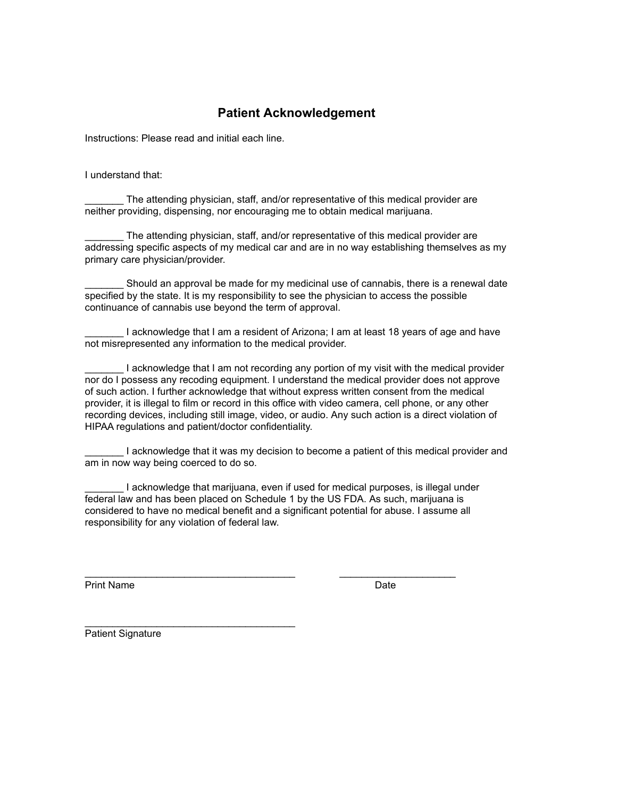### **Patient Acknowledgement**

Instructions: Please read and initial each line.

I understand that:

The attending physician, staff, and/or representative of this medical provider are neither providing, dispensing, nor encouraging me to obtain medical marijuana.

The attending physician, staff, and/or representative of this medical provider are addressing specific aspects of my medical car and are in no way establishing themselves as my primary care physician/provider.

Should an approval be made for my medicinal use of cannabis, there is a renewal date specified by the state. It is my responsibility to see the physician to access the possible continuance of cannabis use beyond the term of approval.

I acknowledge that I am a resident of Arizona; I am at least 18 years of age and have not misrepresented any information to the medical provider.

I acknowledge that I am not recording any portion of my visit with the medical provider nor do I possess any recoding equipment. I understand the medical provider does not approve of such action. I further acknowledge that without express written consent from the medical provider, it is illegal to film or record in this office with video camera, cell phone, or any other recording devices, including still image, video, or audio. Any such action is a direct violation of HIPAA regulations and patient/doctor confidentiality.

I acknowledge that it was my decision to become a patient of this medical provider and am in now way being coerced to do so.

\_\_\_\_\_\_\_ I acknowledge that marijuana, even if used for medical purposes, is illegal under federal law and has been placed on Schedule 1 by the US FDA. As such, marijuana is considered to have no medical benefit and a significant potential for abuse. I assume all responsibility for any violation of federal law.

 $\_$  , and the set of the set of the set of the set of the set of the set of the set of the set of the set of the set of the set of the set of the set of the set of the set of the set of the set of the set of the set of th

Print Name Date **Date** 

 $\mathcal{L}_\text{max}$  , and the set of the set of the set of the set of the set of the set of the set of the set of the set of the set of the set of the set of the set of the set of the set of the set of the set of the set of the Patient Signature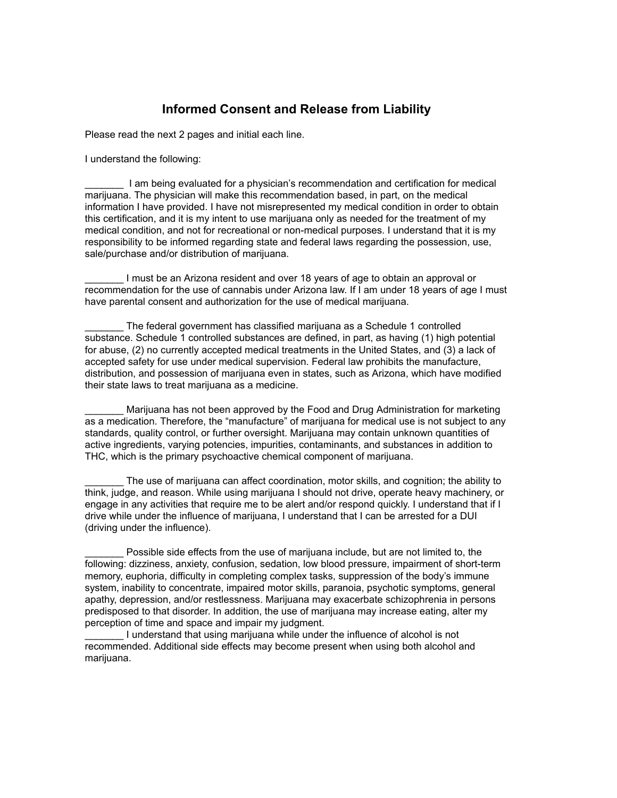### **Informed Consent and Release from Liability**

Please read the next 2 pages and initial each line.

I understand the following:

\_\_\_\_\_\_\_ I am being evaluated for a physician's recommendation and certification for medical marijuana. The physician will make this recommendation based, in part, on the medical information I have provided. I have not misrepresented my medical condition in order to obtain this certification, and it is my intent to use marijuana only as needed for the treatment of my medical condition, and not for recreational or non-medical purposes. I understand that it is my responsibility to be informed regarding state and federal laws regarding the possession, use, sale/purchase and/or distribution of marijuana.

I must be an Arizona resident and over 18 years of age to obtain an approval or recommendation for the use of cannabis under Arizona law. If I am under 18 years of age I must have parental consent and authorization for the use of medical marijuana.

The federal government has classified marijuana as a Schedule 1 controlled substance. Schedule 1 controlled substances are defined, in part, as having (1) high potential for abuse, (2) no currently accepted medical treatments in the United States, and (3) a lack of accepted safety for use under medical supervision. Federal law prohibits the manufacture, distribution, and possession of marijuana even in states, such as Arizona, which have modified their state laws to treat marijuana as a medicine.

Marijuana has not been approved by the Food and Drug Administration for marketing as a medication. Therefore, the "manufacture" of marijuana for medical use is not subject to any standards, quality control, or further oversight. Marijuana may contain unknown quantities of active ingredients, varying potencies, impurities, contaminants, and substances in addition to THC, which is the primary psychoactive chemical component of marijuana.

The use of marijuana can affect coordination, motor skills, and cognition; the ability to think, judge, and reason. While using marijuana I should not drive, operate heavy machinery, or engage in any activities that require me to be alert and/or respond quickly. I understand that if I drive while under the influence of marijuana, I understand that I can be arrested for a DUI (driving under the influence).

Possible side effects from the use of marijuana include, but are not limited to, the following: dizziness, anxiety, confusion, sedation, low blood pressure, impairment of short-term memory, euphoria, difficulty in completing complex tasks, suppression of the body's immune system, inability to concentrate, impaired motor skills, paranoia, psychotic symptoms, general apathy, depression, and/or restlessness. Marijuana may exacerbate schizophrenia in persons predisposed to that disorder. In addition, the use of marijuana may increase eating, alter my perception of time and space and impair my judgment.

I understand that using marijuana while under the influence of alcohol is not recommended. Additional side effects may become present when using both alcohol and marijuana.